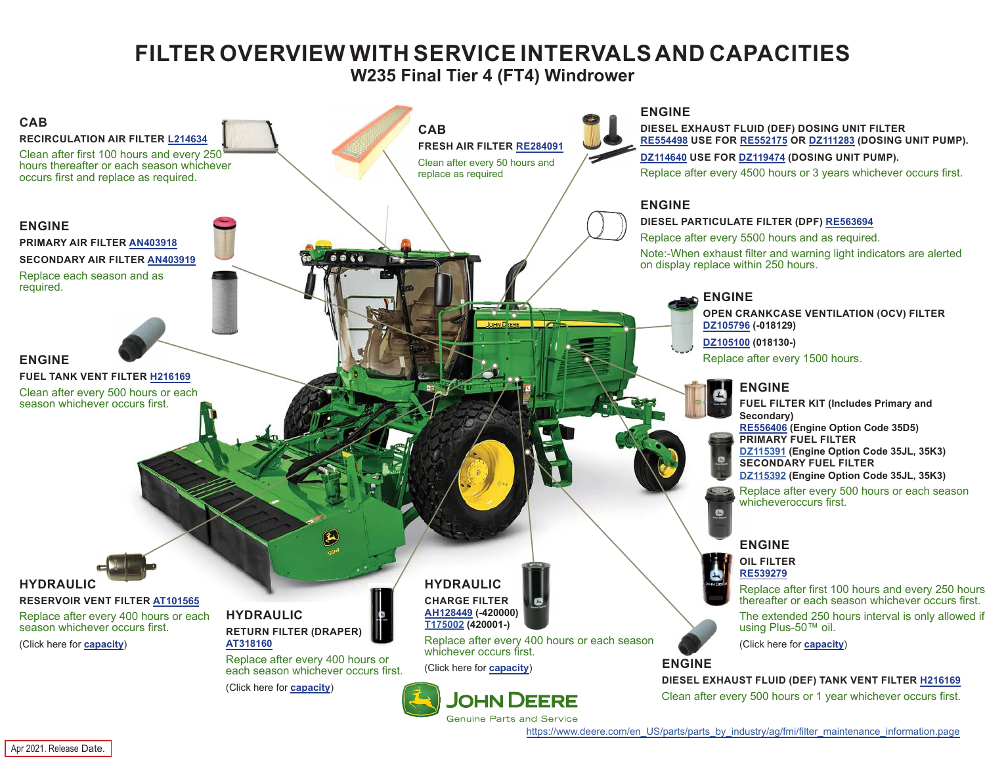## **FILTER OVERVIEW WITH SERVICE INTERVALS AND CAPACITIES**

**W235 Final Tier 4 (FT4) Windrower**

<span id="page-0-0"></span>